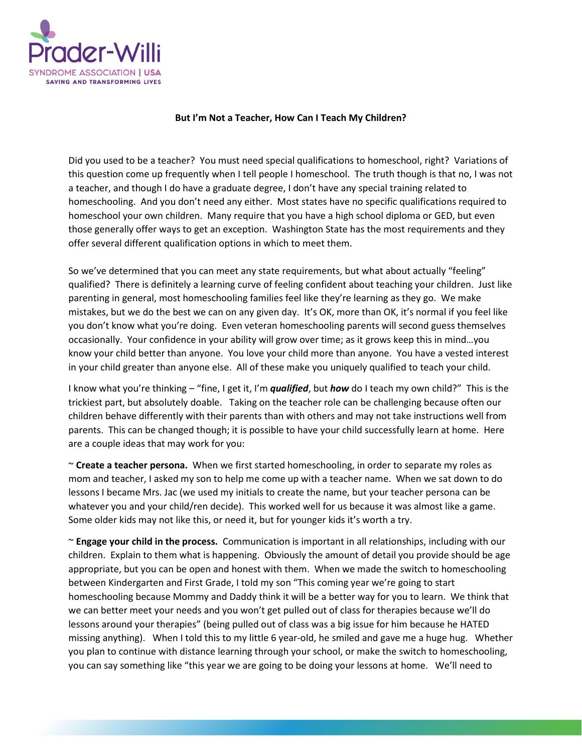

## **But I'm Not a Teacher, How Can I Teach My Children?**

Did you used to be a teacher? You must need special qualifications to homeschool, right? Variations of this question come up frequently when I tell people I homeschool. The truth though is that no, I was not a teacher, and though I do have a graduate degree, I don't have any special training related to homeschooling. And you don't need any either. Most states have no specific qualifications required to homeschool your own children. Many require that you have a high school diploma or GED, but even those generally offer ways to get an exception. Washington State has the most requirements and they offer several different qualification options in which to meet them.

So we've determined that you can meet any state requirements, but what about actually "feeling" qualified? There is definitely a learning curve of feeling confident about teaching your children. Just like parenting in general, most homeschooling families feel like they're learning as they go. We make mistakes, but we do the best we can on any given day. It's OK, more than OK, it's normal if you feel like you don't know what you're doing. Even veteran homeschooling parents will second guess themselves occasionally. Your confidence in your ability will grow over time; as it grows keep this in mind…you know your child better than anyone. You love your child more than anyone. You have a vested interest in your child greater than anyone else. All of these make you uniquely qualified to teach your child.

I know what you're thinking – "fine, I get it, I'm *qualified*, but *how* do I teach my own child?" This is the trickiest part, but absolutely doable. Taking on the teacher role can be challenging because often our children behave differently with their parents than with others and may not take instructions well from parents. This can be changed though; it is possible to have your child successfully learn at home. Here are a couple ideas that may work for you:

~ **Create a teacher persona.** When we first started homeschooling, in order to separate my roles as mom and teacher, I asked my son to help me come up with a teacher name. When we sat down to do lessons I became Mrs. Jac (we used my initials to create the name, but your teacher persona can be whatever you and your child/ren decide). This worked well for us because it was almost like a game. Some older kids may not like this, or need it, but for younger kids it's worth a try.

~ **Engage your child in the process.** Communication is important in all relationships, including with our children. Explain to them what is happening. Obviously the amount of detail you provide should be age appropriate, but you can be open and honest with them. When we made the switch to homeschooling between Kindergarten and First Grade, I told my son "This coming year we're going to start homeschooling because Mommy and Daddy think it will be a better way for you to learn. We think that we can better meet your needs and you won't get pulled out of class for therapies because we'll do lessons around your therapies" (being pulled out of class was a big issue for him because he HATED missing anything). When I told this to my little 6 year-old, he smiled and gave me a huge hug. Whether you plan to continue with distance learning through your school, or make the switch to homeschooling, you can say something like "this year we are going to be doing your lessons at home. We'll need to